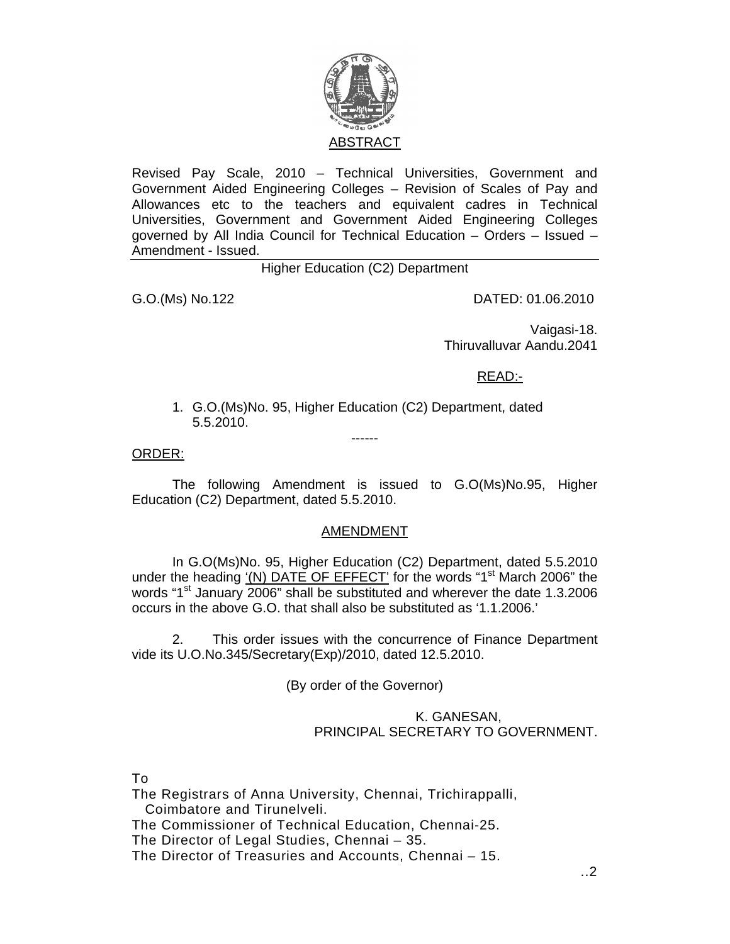

Revised Pay Scale, 2010 – Technical Universities, Government and Government Aided Engineering Colleges – Revision of Scales of Pay and Allowances etc to the teachers and equivalent cadres in Technical Universities, Government and Government Aided Engineering Colleges governed by All India Council for Technical Education – Orders – Issued – Amendment - Issued.

Higher Education (C2) Department

G.O.(Ms) No.122 DATED: 01.06.2010

Vaigasi-18. Thiruvalluvar Aandu.2041

READ:-

1. G.O.(Ms)No. 95, Higher Education (C2) Department, dated 5.5.2010.

------

ORDER:

 The following Amendment is issued to G.O(Ms)No.95, Higher Education (C2) Department, dated 5.5.2010.

## AMENDMENT

 In G.O(Ms)No. 95, Higher Education (C2) Department, dated 5.5.2010 under the heading  $(N)$  DATE OF EFFECT' for the words "1<sup>st</sup> March 2006" the words "1<sup>st</sup> January 2006" shall be substituted and wherever the date 1.3.2006 occurs in the above G.O. that shall also be substituted as '1.1.2006.'

 2. This order issues with the concurrence of Finance Department vide its U.O.No.345/Secretary(Exp)/2010, dated 12.5.2010.

(By order of the Governor)

## K. GANESAN, PRINCIPAL SECRETARY TO GOVERNMENT.

To

The Registrars of Anna University, Chennai, Trichirappalli, Coimbatore and Tirunelveli.

The Commissioner of Technical Education, Chennai-25.

The Director of Legal Studies, Chennai – 35.

The Director of Treasuries and Accounts, Chennai – 15.